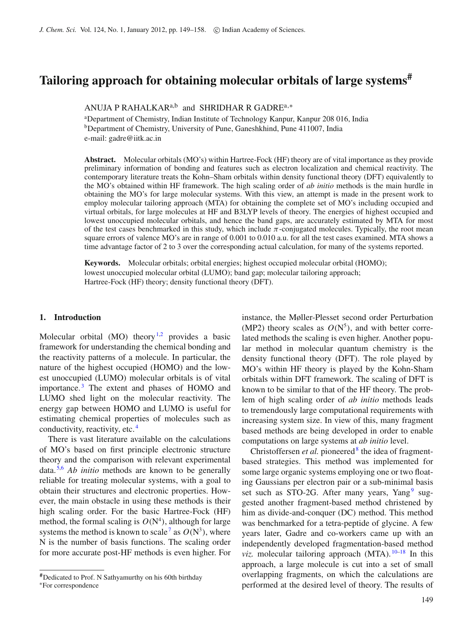# **Tailoring approach for obtaining molecular orbitals of large systems#**

ANUJA P RAHALKAR<sup>a,b</sup> and SHRIDHAR R GADRE<sup>a,\*</sup>

a Department of Chemistry, Indian Institute of Technology Kanpur, Kanpur 208 016, India <sup>b</sup>Department of Chemistry, University of Pune, Ganeshkhind, Pune 411007, India e-mail: gadre@iitk.ac.in

**Abstract.** Molecular orbitals (MO's) within Hartree-Fock (HF) theory are of vital importance as they provide preliminary information of bonding and features such as electron localization and chemical reactivity. The contemporary literature treats the Kohn–Sham orbitals within density functional theory (DFT) equivalently to the MO's obtained within HF framework. The high scaling order of *ab initio* methods is the main hurdle in obtaining the MO's for large molecular systems. With this view, an attempt is made in the present work to employ molecular tailoring approach (MTA) for obtaining the complete set of MO's including occupied and virtual orbitals, for large molecules at HF and B3LYP levels of theory. The energies of highest occupied and lowest unoccupied molecular orbitals, and hence the band gaps, are accurately estimated by MTA for most of the test cases benchmarked in this study, which include  $\pi$ -conjugated molecules. Typically, the root mean square errors of valence MO's are in range of 0.001 to 0.010 a.u. for all the test cases examined. MTA shows a time advantage factor of 2 to 3 over the corresponding actual calculation, for many of the systems reported.

**Keywords.** Molecular orbitals; orbital energies; highest occupied molecular orbital (HOMO); lowest unoccupied molecular orbital (LUMO); band gap; molecular tailoring approach; Hartree-Fock (HF) theory; density functional theory (DFT).

#### **1. Introduction**

Molecular orbital  $(MO)$  theory<sup>[1](#page-9-0)[,2](#page-9-1)</sup> provides a basic framework for understanding the chemical bonding and the reactivity patterns of a molecule. In particular, the nature of the highest occupied (HOMO) and the lowest unoccupied (LUMO) molecular orbitals is of vital importance. [3](#page-9-2) The extent and phases of HOMO and LUMO shed light on the molecular reactivity. The energy gap between HOMO and LUMO is useful for estimating chemical properties of molecules such as conductivity, reactivity, etc.<sup>4</sup>

There is vast literature available on the calculations of MO's based on first principle electronic structure theory and the comparison with relevant experimental data. [5](#page-9-3)[,6](#page-9-4) *Ab initio* methods are known to be generally reliable for treating molecular systems, with a goal to obtain their structures and electronic properties. However, the main obstacle in using these methods is their high scaling order. For the basic Hartree-Fock (HF) method, the formal scaling is  $O(N<sup>4</sup>)$ , although for large systems the method is known to scale<sup>[7](#page-9-5)</sup> as  $O(N^3)$ , where N is the number of basis functions. The scaling order for more accurate post-HF methods is even higher. For instance, the Møller-Plesset second order Perturbation (MP2) theory scales as  $O(N^5)$ , and with better correlated methods the scaling is even higher. Another popular method in molecular quantum chemistry is the density functional theory (DFT). The role played by MO's within HF theory is played by the Kohn-Sham orbitals within DFT framework. The scaling of DFT is known to be similar to that of the HF theory. The problem of high scaling order of *ab initio* methods leads to tremendously large computational requirements with increasing system size. In view of this, many fragment based methods are being developed in order to enable computations on large systems at *ab initio* level.

Christoffersen *et al.* pioneered<sup>8</sup> the idea of fragmentbased strategies. This method was implemented for some large organic systems employing one or two floating Gaussians per electron pair or a sub-minimal basis set such as STO-2G. After many years, Yang<sup>[9](#page-9-7)</sup> suggested another fragment-based method christened by him as divide-and-conquer (DC) method. This method was benchmarked for a tetra-peptide of glycine. A few years later, Gadre and co-workers came up with an independently developed fragmentation-based method *viz.* molecular tailoring approach  $(MTA)$ .  $10-18$  $10-18$  In this approach, a large molecule is cut into a set of small overlapping fragments, on which the calculations are performed at the desired level of theory. The results of

**<sup>#</sup>**Dedicated to Prof. N Sathyamurthy on his 60th birthday <sup>∗</sup>For correspondence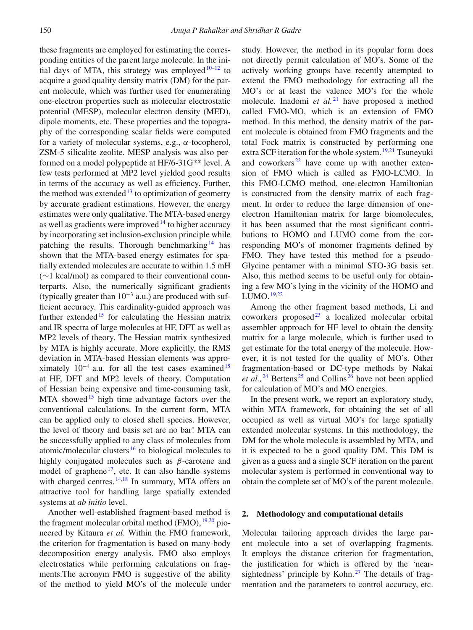these fragments are employed for estimating the corresponding entities of the parent large molecule. In the initial days of MTA, this strategy was employed  $10-12$  $10-12$  to acquire a good quality density matrix (DM) for the parent molecule, which was further used for enumerating one-electron properties such as molecular electrostatic potential (MESP), molecular electron density (MED), dipole moments, etc. These properties and the topography of the corresponding scalar fields were computed for a variety of molecular systems, e.g.,  $\alpha$ -tocopherol, ZSM-5 silicalite zeolite. MESP analysis was also performed on a model polypeptide at HF/6-31G\*\* level. A few tests performed at MP2 level yielded good results in terms of the accuracy as well as efficiency. Further, the method was extended<sup>[13](#page-9-11)</sup> to optimization of geometry by accurate gradient estimations. However, the energy estimates were only qualitative. The MTA-based energy as well as gradients were improved  $14$  to higher accuracy by incorporating set inclusion-exclusion principle while patching the results. Thorough benchmarking  $14$  has shown that the MTA-based energy estimates for spatially extended molecules are accurate to within 1.5 mH (∼1 kcal/mol) as compared to their conventional counterparts. Also, the numerically significant gradients (typically greater than  $10^{-3}$  a.u.) are produced with sufficient accuracy. This cardinality-guided approach was further extended<sup>[15](#page-9-13)</sup> for calculating the Hessian matrix and IR spectra of large molecules at HF, DFT as well as MP2 levels of theory. The Hessian matrix synthesized by MTA is highly accurate. More explicitly, the RMS deviation in MTA-based Hessian elements was approximately  $10^{-4}$  a.u. for all the test cases examined<sup>15</sup> at HF, DFT and MP2 levels of theory. Computation of Hessian being expensive and time-consuming task, MTA showed<sup>15</sup> high time advantage factors over the conventional calculations. In the current form, MTA can be applied only to closed shell species. However, the level of theory and basis set are no bar! MTA can be successfully applied to any class of molecules from atomic/molecular clusters  $16$  to biological molecules to highly conjugated molecules such as  $\beta$ -carotene and model of graphene<sup>[17](#page-9-15)</sup>, etc. It can also handle systems with charged centres.  $14,18$  $14,18$  In summary, MTA offers an attractive tool for handling large spatially extended systems at *ab initio* level.

Another well-established fragment-based method is the fragment molecular orbital method (FMO),  $^{19,20}$  $^{19,20}$  $^{19,20}$  $^{19,20}$  pioneered by Kitaura *et al*. Within the FMO framework, the criterion for fragmentation is based on many-body decomposition energy analysis. FMO also employs electrostatics while performing calculations on fragments.The acronym FMO is suggestive of the ability of the method to yield MO's of the molecule under study. However, the method in its popular form does not directly permit calculation of MO's. Some of the actively working groups have recently attempted to extend the FMO methodology for extracting all the MO's or at least the valence MO's for the whole molecule. Inadomi *et al.*<sup>[21](#page-9-18)</sup> have proposed a method called FMO-MO, which is an extension of FMO method. In this method, the density matrix of the parent molecule is obtained from FMO fragments and the total Fock matrix is constructed by performing one extra SCF iteration for the whole system. <sup>[19](#page-9-16)[,21](#page-9-18)</sup> Tsuneyuki and coworkers<sup>[22](#page-9-19)</sup> have come up with another extension of FMO which is called as FMO-LCMO. In this FMO-LCMO method, one-electron Hamiltonian is constructed from the density matrix of each fragment. In order to reduce the large dimension of oneelectron Hamiltonian matrix for large biomolecules, it has been assumed that the most significant contributions to HOMO and LUMO come from the corresponding MO's of monomer fragments defined by FMO. They have tested this method for a pseudo-Glycine pentamer with a minimal STO-3G basis set. Also, this method seems to be useful only for obtaining a few MO's lying in the vicinity of the HOMO and LUMO.  $19,22$  $19,22$ 

Among the other fragment based methods, Li and coworkers proposed $^{23}$  $^{23}$  $^{23}$  a localized molecular orbital assembler approach for HF level to obtain the density matrix for a large molecule, which is further used to get estimate for the total energy of the molecule. However, it is not tested for the quality of MO's. Other fragmentation-based or DC-type methods by Nakai et al., <sup>[24](#page-9-21)</sup> Bettens<sup>[25](#page-9-22)</sup> and Collins<sup>[26](#page-9-23)</sup> have not been applied for calculation of MO's and MO energies.

In the present work, we report an exploratory study, within MTA framework, for obtaining the set of all occupied as well as virtual MO's for large spatially extended molecular systems. In this methodology, the DM for the whole molecule is assembled by MTA, and it is expected to be a good quality DM. This DM is given as a guess and a single SCF iteration on the parent molecular system is performed in conventional way to obtain the complete set of MO's of the parent molecule.

# **2. Methodology and computational details**

Molecular tailoring approach divides the large parent molecule into a set of overlapping fragments. It employs the distance criterion for fragmentation, the justification for which is offered by the 'nearsightedness' principle by Kohn. $27$  The details of fragmentation and the parameters to control accuracy, etc.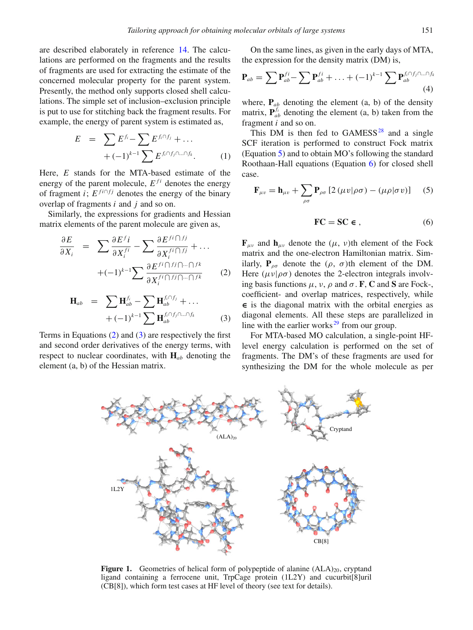are described elaborately in reference [14.](#page-9-12) The calculations are performed on the fragments and the results of fragments are used for extracting the estimate of the concerned molecular property for the parent system. Presently, the method only supports closed shell calculations. The simple set of inclusion–exclusion principle is put to use for stitching back the fragment results. For example, the energy of parent system is estimated as,

$$
E = \sum E^{f_i} - \sum E^{f_i \cap f_j} + \dots
$$
  
+  $(-1)^{k-1} \sum E^{f_i \cap f_j \cap \dots \cap f_k}$ . (1)

Here, *E* stands for the MTA-based estimate of the energy of the parent molecule,  $E^{fi}$  denotes the energy of fragment *i*;  $E^{fi \cap fj}$  denotes the energy of the binary overlap of fragments *i* and *j* and so on.

Similarly, the expressions for gradients and Hessian matrix elements of the parent molecule are given as,

<span id="page-2-0"></span>
$$
\frac{\partial E}{\partial X_i} = \sum \frac{\partial E^f i}{\partial X_i^{fi}} - \sum \frac{\partial E^{fi} \cap f^j}{\partial X_i^{fi} \cap f^j} + \dots
$$

$$
+ (-1)^{k-1} \sum \frac{\partial E^{fi} \cap f^j \cap \dots \cap f^k}{\partial X_i^{fi} \cap f^j \cap \dots \cap f^k} \qquad (2)
$$

<span id="page-2-1"></span>
$$
\mathbf{H}_{ab} = \sum \mathbf{H}_{ab}^{f_i} - \sum \mathbf{H}_{ab}^{f_i \cap f_j} + \dots
$$

$$
+ (-1)^{k-1} \sum \mathbf{H}_{ab}^{f_i \cap f_j \cap \dots \cap f_k} \tag{3}
$$

<span id="page-2-5"></span>Terms in Equations [\(2\)](#page-2-0) and [\(3\)](#page-2-1) are respectively the first and second order derivatives of the energy terms, with respect to nuclear coordinates, with **H***ab* denoting the element (a, b) of the Hessian matrix.

On the same lines, as given in the early days of MTA, the expression for the density matrix (DM) is,

<span id="page-2-4"></span>
$$
\mathbf{P}_{ab} = \sum \mathbf{P}_{ab}^{fi} - \sum \mathbf{P}_{ab}^{fi} + \ldots + (-1)^{k-1} \sum \mathbf{P}_{ab}^{f_i \cap f_j \cap \ldots \cap f_k}
$$
\n(4)

where,  $P_{ab}$  denoting the element (a, b) of the density matrix,  $P_{ab}^{f_i}$  denoting the element (a, b) taken from the fragment *i* and so on.

This DM is then fed to  $GAMESS^{28}$  and a single SCF iteration is performed to construct Fock matrix (Equation [5\)](#page-2-2) and to obtain MO's following the standard Roothaan-Hall equations (Equation [6\)](#page-2-3) for closed shell case.

<span id="page-2-2"></span>
$$
\mathbf{F}_{\mu\nu} = \mathbf{h}_{\mu\nu} + \sum_{\rho\sigma} \mathbf{P}_{\rho\sigma} \left[ 2 \left( \mu v | \rho\sigma \right) - \left( \mu \rho | \sigma v \right) \right] \tag{5}
$$

<span id="page-2-3"></span>
$$
\text{FC} = \text{SC} \in , \tag{6}
$$

 $\mathbf{F}_{\mu\nu}$  and  $\mathbf{h}_{\mu\nu}$  denote the ( $\mu$ ,  $\nu$ )th element of the Fock matrix and the one-electron Hamiltonian matrix. Similarly,  $P_{\rho\sigma}$  denote the  $(\rho, \sigma)$ th element of the DM. Here  $(\mu \nu | \rho \sigma)$  denotes the 2-electron integrals involving basis functions  $\mu$ ,  $\nu$ ,  $\rho$  and  $\sigma$ . **F**, **C** and **S** are Fock-, coefficient- and overlap matrices, respectively, while **∈** is the diagonal matrix with the orbital energies as diagonal elements. All these steps are parallelized in line with the earlier works $^{29}$  $^{29}$  $^{29}$  from our group.

For MTA-based MO calculation, a single-point HFlevel energy calculation is performed on the set of fragments. The DM's of these fragments are used for synthesizing the DM for the whole molecule as per

**Figure 1.** Geometries of helical form of polypeptide of alanine  $(ALA)_{20}$ , cryptand ligand containing a ferrocene unit, TrpCage protein (1L2Y) and cucurbit[8]uril (CB[8]), which form test cases at HF level of theory (see text for details).

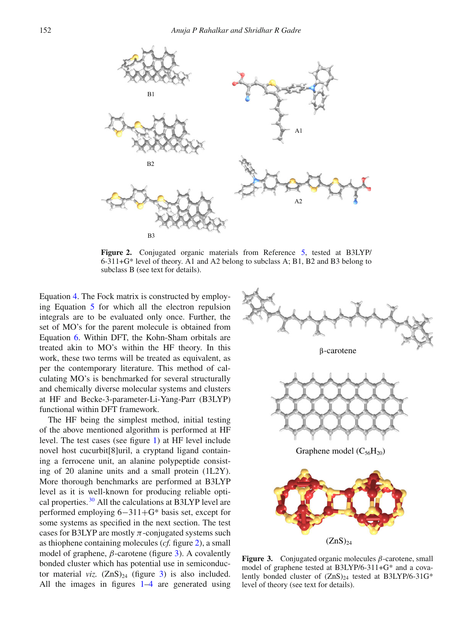<span id="page-3-0"></span>

**Figure 2.** Conjugated organic materials from Reference [5](#page-9-3), tested at B3LYP/ 6-311+G\* level of theory. A1 and A2 belong to subclass A; B1, B2 and B3 belong to subclass B (see text for details).

Equation [4.](#page-2-4) The Fock matrix is constructed by employing Equation [5](#page-2-2) for which all the electron repulsion integrals are to be evaluated only once. Further, the set of MO's for the parent molecule is obtained from Equation [6.](#page-2-3) Within DFT, the Kohn-Sham orbitals are treated akin to MO's within the HF theory. In this work, these two terms will be treated as equivalent, as per the contemporary literature. This method of calculating MO's is benchmarked for several structurally and chemically diverse molecular systems and clusters at HF and Becke-3-parameter-Li-Yang-Parr (B3LYP) functional within DFT framework.

The HF being the simplest method, initial testing of the above mentioned algorithm is performed at HF level. The test cases (see figure [1\)](#page-2-5) at HF level include novel host cucurbit[8]uril, a cryptand ligand containing a ferrocene unit, an alanine polypeptide consisting of 20 alanine units and a small protein (1L2Y). More thorough benchmarks are performed at B3LYP level as it is well-known for producing reliable optical properties. [30](#page-9-27) All the calculations at B3LYP level are performed employing 6−311+G\* basis set, except for some systems as specified in the next section. The test cases for B3LYP are mostly  $\pi$ -conjugated systems such as thiophene containing molecules (*cf.* figure [2\)](#page-3-0), a small model of graphene,  $\beta$ -carotene (figure [3\)](#page-3-1). A covalently bonded cluster which has potential use in semiconductor material *viz.*  $(ZnS)_{24}$  (figure [3\)](#page-3-1) is also included. All the images in figures  $1-4$  $1-4$  are generated using

<span id="page-3-1"></span>



**Figure 3.** Conjugated organic molecules β-carotene, small model of graphene tested at B3LYP/6-311+G\* and a covalently bonded cluster of  $(ZnS)_{24}$  tested at B3LYP/6-31G\* level of theory (see text for details).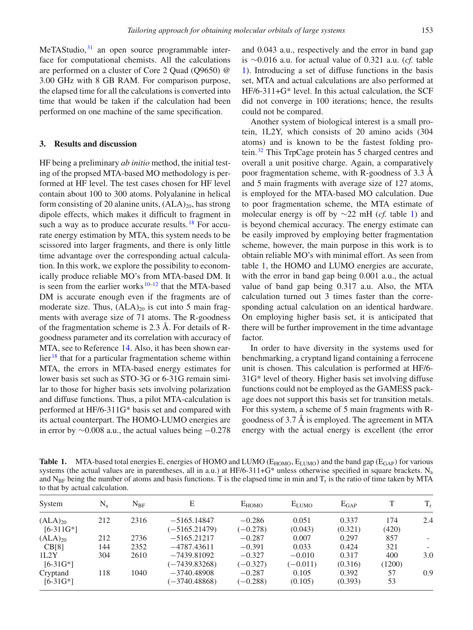$MeTAStudio$ ,  $31$  an open source programmable interface for computational chemists. All the calculations are performed on a cluster of Core 2 Quad (Q9650) @ 3.00 GHz with 8 GB RAM. For comparison purpose, the elapsed time for all the calculations is converted into time that would be taken if the calculation had been performed on one machine of the same specification.

### **3. Results and discussion**

HF being a preliminary *ab initio* method, the initial testing of the propsed MTA-based MO methodology is performed at HF level. The test cases chosen for HF level contain about 100 to 300 atoms. Polyalanine in helical form consisting of 20 alanine units,  $(ALA)_{20}$ , has strong dipole effects, which makes it difficult to fragment in such a way as to produce accurate results.  $18$  For accurate energy estimation by MTA, this system needs to be scissored into larger fragments, and there is only little time advantage over the corresponding actual calculation. In this work, we explore the possibility to economically produce reliable MO's from MTA-based DM. It is seen from the earlier works  $10-12$  $10-12$  that the MTA-based DM is accurate enough even if the fragments are of moderate size. Thus,  $(ALA)_{20}$  is cut into 5 main fragments with average size of 71 atoms. The R-goodness of the fragmentation scheme is 2.3 Å. For details of Rgoodness parameter and its correlation with accuracy of MTA, see to Reference [14.](#page-9-12) Also, it has been shown ear- $\ar{18}$  $\ar{18}$  $\ar{18}$  that for a particular fragmentation scheme within MTA, the errors in MTA-based energy estimates for lower basis set such as STO-3G or 6-31G remain similar to those for higher basis sets involving polarization and diffuse functions. Thus, a pilot MTA-calculation is performed at HF/6-311G\* basis set and compared with its actual counterpart. The HOMO-LUMO energies are in error by  $\sim$ 0.008 a.u., the actual values being  $-0.278$ 

and 0.043 a.u., respectively and the error in band gap is ∼0.016 a.u. for actual value of 0.321 a.u. (*cf.* table [1\)](#page-4-0). Introducing a set of diffuse functions in the basis set, MTA and actual calculations are also performed at HF/6-311+G\* level. In this actual calculation, the SCF did not converge in 100 iterations; hence, the results could not be compared.

Another system of biological interest is a small protein, 1L2Y, which consists of 20 amino acids (304 atoms) and is known to be the fastest folding protein. [32](#page-9-29) This TrpCage protein has 5 charged centres and overall a unit positive charge. Again, a comparatively poor fragmentation scheme, with R-goodness of 3.3 Å and 5 main fragments with average size of 127 atoms, is employed for the MTA-based MO calculation. Due to poor fragmentation scheme, the MTA estimate of molecular energy is off by ∼22 mH (*cf.* table [1\)](#page-4-0) and is beyond chemical accuracy. The energy estimate can be easily improved by employing better fragmentation scheme, however, the main purpose in this work is to obtain reliable MO's with minimal effort. As seen from table [1,](#page-4-0) the HOMO and LUMO energies are accurate, with the error in band gap being 0.001 a.u., the actual value of band gap being 0.317 a.u. Also, the MTA calculation turned out 3 times faster than the corresponding actual calculation on an identical hardware. On employing higher basis set, it is anticipated that there will be further improvement in the time advantage factor.

In order to have diversity in the systems used for benchmarking, a cryptand ligand containing a ferrocene unit is chosen. This calculation is performed at HF/6- 31G\* level of theory. Higher basis set involving diffuse functions could not be employed as the GAMESS package does not support this basis set for transition metals. For this system, a scheme of 5 main fragments with Rgoodness of 3.7 Å is employed. The agreement in MTA energy with the actual energy is excellent (the error

<span id="page-4-0"></span>**Table 1.** MTA-based total energies E, energies of HOMO and LUMO ( $E_{HOMO}$ ,  $E_{LUMO}$ ) and the band gap ( $E_{GAP}$ ) for various systems (the actual values are in parentheses, all in a.u.) at HF/6-311+G\* unless otherwise specified in square brackets. N<sub>a</sub> and N<sub>BF</sub> being the number of atoms and basis functions. T is the elapsed time in min and  $T_r$  is the ratio of time taken by MTA to that by actual calculation.

| System                       | $N_a$      | $N_{BF}$     | Е                                | E <sub>HOMO</sub>      | $E_{LUMO}$             | $E_{\text{GAP}}$ |               | $T_r$ |
|------------------------------|------------|--------------|----------------------------------|------------------------|------------------------|------------------|---------------|-------|
| $(ALA)_{20}$<br>$[6-311G^*]$ | 212        | 2316         | $-5165.14847$<br>$(-5165.21479)$ | $-0.286$<br>$(-0.278)$ | 0.051<br>(0.043)       | 0.337<br>(0.321) | 174<br>(420)  | 2.4   |
| $(ALA)_{20}$<br>CB[8]        | 212<br>144 | 2736<br>2352 | $-5165.21217$<br>$-4787.43611$   | $-0.287$<br>$-0.391$   | 0.007<br>0.033         | 0.297<br>0.424   | 857<br>321    |       |
| 1L2Y<br>$[6-31G^*]$          | 304        | 2610         | $-7439.81092$<br>$(-7439.83268)$ | $-0.327$<br>$(-0.327)$ | $-0.010$<br>$(-0.011)$ | 0.317<br>(0.316) | 400<br>(1200) | 3.0   |
| Cryptand<br>$[6-31G^*]$      | 118        | 1040         | $-3740.48908$<br>$(-3740.48868)$ | $-0.287$<br>$(-0.288)$ | 0.105<br>(0.105)       | 0.392<br>(0.393) | 57<br>53      | 0.9   |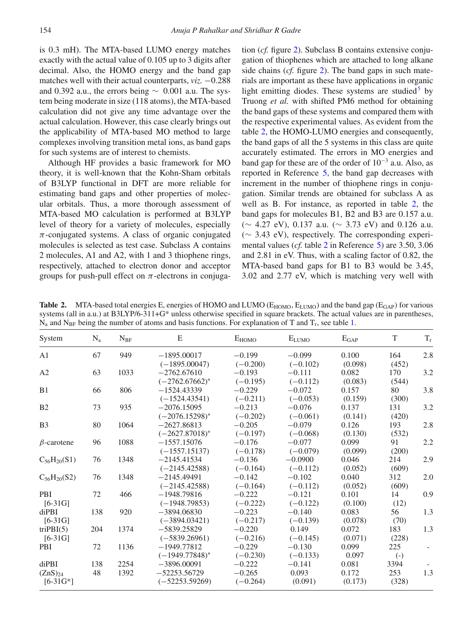is 0.3 mH). The MTA-based LUMO energy matches exactly with the actual value of 0.105 up to 3 digits after decimal. Also, the HOMO energy and the band gap matches well with their actual counterparts, *viz.* −0.288 and 0.392 a.u., the errors being  $\sim$  0.001 a.u. The system being moderate in size (118 atoms), the MTA-based calculation did not give any time advantage over the actual calculation. However, this case clearly brings out the applicability of MTA-based MO method to large complexes involving transition metal ions, as band gaps for such systems are of interest to chemists.

Although HF provides a basic framework for MO theory, it is well-known that the Kohn-Sham orbitals of B3LYP functional in DFT are more reliable for estimating band gaps and other properties of molecular orbitals. Thus, a more thorough assessment of MTA-based MO calculation is performed at B3LYP level of theory for a variety of molecules, especially  $\pi$ -conjugated systems. A class of organic conjugated molecules is selected as test case. Subclass A contains 2 molecules, A1 and A2, with 1 and 3 thiophene rings, respectively, attached to electron donor and acceptor groups for push-pull effect on  $\pi$ -electrons in conjugation (*cf.* figure [2\)](#page-3-0). Subclass B contains extensive conjugation of thiophenes which are attached to long alkane side chains (*cf.* figure [2\)](#page-3-0). The band gaps in such materials are important as these have applications in organic light emitting diodes. These systems are studied<sup>5</sup> by Truong *et al.* with shifted PM6 method for obtaining the band gaps of these systems and compared them with the respective experimental values. As evident from the table [2,](#page-5-0) the HOMO-LUMO energies and consequently, the band gaps of all the 5 systems in this class are quite accurately estimated. The errors in MO energies and band gap for these are of the order of  $10^{-3}$  a.u. Also, as reported in Reference [5,](#page-9-3) the band gap decreases with increment in the number of thiophene rings in conjugation. Similar trends are obtained for subclass A as well as B. For instance, as reported in table [2,](#page-5-0) the band gaps for molecules B1, B2 and B3 are 0.157 a.u. (∼ 4.27 eV), 0.137 a.u. (∼ 3.73 eV) and 0.126 a.u. (∼ 3.43 eV), respectively. The corresponding experimental values (*cf.* table [2](#page-5-0) in Reference [5](#page-9-3)) are 3.50, 3.06 and 2.81 in eV. Thus, with a scaling factor of 0.82, the MTA-based band gaps for B1 to B3 would be 3.45, 3.02 and 2.77 eV, which is matching very well with

<span id="page-5-0"></span>**Table 2.** MTA-based total energies E, energies of HOMO and LUMO (E<sub>HOMO</sub>, E<sub>LUMO</sub>) and the band gap (E<sub>GAP</sub>) for various systems (all in a.u.) at B3LYP/6-311+G\* unless otherwise specified in square brackets. The actual values are in parentheses,  $N_a$  and  $N_{\rm BF}$  being the number of atoms and basis functions. For explanation of T and  $T_r$ , see table [1.](#page-4-0)

| System              | $N_a$ | $N_{BF}$ | ${\bf E}$           | $E_{HOMO}$ | $E_{LUMO}$ | $E_{\text{GAP}}$ | $\mathbf T$       | $T_r$ |
|---------------------|-------|----------|---------------------|------------|------------|------------------|-------------------|-------|
| A <sub>1</sub>      | 67    | 949      | $-1895.00017$       | $-0.199$   | $-0.099$   | 0.100            | 164               | 2.8   |
|                     |       |          | $(-1895.00047)$     | $(-0.200)$ | $(-0.102)$ | (0.098)          | (452)             |       |
| A2                  | 63    | 1033     | $-2762.67610$       | $-0.193$   | $-0.111$   | 0.082            | 170               | 3.2   |
|                     |       |          | $(-2762.67662)^*$   | $(-0.195)$ | $(-0.112)$ | (0.083)          | (544)             |       |
| B <sub>1</sub>      | 66    | 806      | $-1524.43339$       | $-0.229$   | $-0.072$   | 0.157            | 80                | 3.8   |
|                     |       |          | $(-1524.43541)$     | $(-0.211)$ | $(-0.053)$ | (0.159)          | (300)             |       |
| B <sub>2</sub>      | 73    | 935      | $-2076.15095$       | $-0.213$   | $-0.076$   | 0.137            | 131               | 3.2   |
|                     |       |          | $(-2076.15298)^{*}$ | $(-0.202)$ | $(-0.061)$ | (0.141)          | (420)             |       |
| B <sub>3</sub>      | 80    | 1064     | $-2627.86813$       | $-0.205$   | $-0.079$   | 0.126            | 193               | 2.8   |
|                     |       |          | $(-2627.87018)^*$   | $(-0.197)$ | $(-0.068)$ | (0.130)          | (532)             |       |
| $\beta$ -carotene   | 96    | 1088     | $-1557.15076$       | $-0.176$   | $-0.077$   | 0.099            | 91                | 2.2   |
|                     |       |          | $(-1557.15137)$     | $(-0.178)$ | $(-0.079)$ | (0.099)          | (200)             |       |
| $C_{56}H_{20}(S1)$  | 76    | 1348     | $-2145.41534$       | $-0.136$   | $-0.0900$  | 0.046            | 214               | 2.9   |
|                     |       |          | $(-2145.42588)$     | $(-0.164)$ | $(-0.112)$ | (0.052)          | (609)             |       |
| $C_{56}H_{20}(S2)$  | 76    | 1348     | $-2145.49491$       | $-0.142$   | $-0.102$   | 0.040            | 312               | 2.0   |
|                     |       |          | $(-2145.42588)$     | $(-0.164)$ | $(-0.112)$ | (0.052)          | (609)             |       |
| PBI                 | 72    | 466      | $-1948.79816$       | $-0.222$   | $-0.121$   | 0.101            | 14                | 0.9   |
| $[6-31G]$           |       |          | $(-1948.79853)$     | $(-0.222)$ | $(-0.122)$ | (0.100)          | (12)              |       |
| diPBI               | 138   | 920      | $-3894.06830$       | $-0.223$   | $-0.140$   | 0.083            | 56                | 1.3   |
| $[6-31G]$           |       |          | $(-3894.03421)$     | $(-0.217)$ | $(-0.139)$ | (0.078)          | (70)              |       |
| triPBI(5)           | 204   | 1374     | $-5839.25829$       | $-0.220$   | 0.149      | 0.072            | 183               | 1.3   |
| $[6-31G]$           |       |          | $(-5839.26961)$     | $(-0.216)$ | $(-0.145)$ | (0.071)          | (228)             |       |
| <b>PBI</b>          | 72    | 1136     | $-1949.77812$       | $-0.229$   | $-0.130$   | 0.099            | 225               |       |
|                     |       |          | $(-1949.77848)^*$   | $(-0.230)$ | $(-0.133)$ | 0.097            | $\left( -\right)$ |       |
| diPBI               | 138   | 2254     | $-3896,00091$       | $-0.222$   | $-0.141$   | 0.081            | 3394              |       |
| (ZnS) <sub>24</sub> | 48    | 1392     | $-52253.56729$      | $-0.265$   | 0.093      | 0.172            | 253               | 1.3   |
| $[6-31G*]$          |       |          | $(-52253.59269)$    | $(-0.264)$ | (0.091)    | (0.173)          | (328)             |       |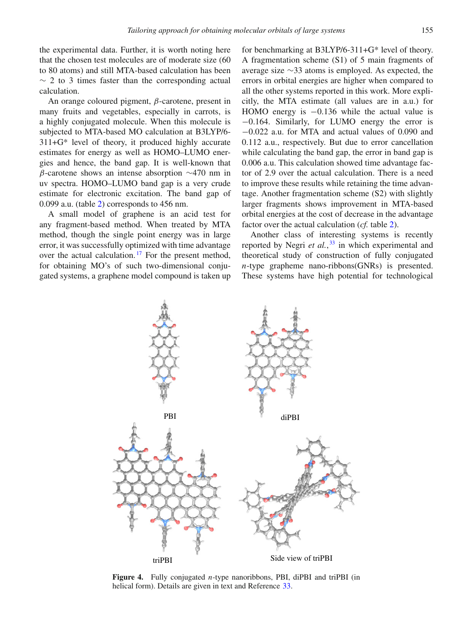the experimental data. Further, it is worth noting here that the chosen test molecules are of moderate size (60 to 80 atoms) and still MTA-based calculation has been  $\sim$  2 to 3 times faster than the corresponding actual calculation.

An orange coloured pigment,  $\beta$ -carotene, present in many fruits and vegetables, especially in carrots, is a highly conjugated molecule. When this molecule is subjected to MTA-based MO calculation at B3LYP/6- 311+G\* level of theory, it produced highly accurate estimates for energy as well as HOMO–LUMO energies and hence, the band gap. It is well-known that β-carotene shows an intense absorption ∼470 nm in uv spectra. HOMO–LUMO band gap is a very crude estimate for electronic excitation. The band gap of 0.099 a.u. (table [2\)](#page-5-0) corresponds to 456 nm.

A small model of graphene is an acid test for any fragment-based method. When treated by MTA method, though the single point energy was in large error, it was successfully optimized with time advantage over the actual calculation.<sup>[17](#page-9-15)</sup> For the present method, for obtaining MO's of such two-dimensional conjugated systems, a graphene model compound is taken up for benchmarking at B3LYP/6-311+G\* level of theory. A fragmentation scheme (S1) of 5 main fragments of average size ∼33 atoms is employed. As expected, the errors in orbital energies are higher when compared to all the other systems reported in this work. More explicitly, the MTA estimate (all values are in a.u.) for HOMO energy is  $-0.136$  while the actual value is −0.164. Similarly, for LUMO energy the error is −0.022 a.u. for MTA and actual values of 0.090 and 0.112 a.u., respectively. But due to error cancellation while calculating the band gap, the error in band gap is 0.006 a.u. This calculation showed time advantage factor of 2.9 over the actual calculation. There is a need to improve these results while retaining the time advantage. Another fragmentation scheme (S2) with slightly larger fragments shows improvement in MTA-based orbital energies at the cost of decrease in the advantage factor over the actual calculation (*cf.* table [2\)](#page-5-0).

Another class of interesting systems is recently reported by Negri *et al.*, [33](#page-9-30) in which experimental and theoretical study of construction of fully conjugated *n*-type grapheme nano-ribbons(GNRs) is presented. These systems have high potential for technological

<span id="page-6-0"></span>

**Figure 4.** Fully conjugated *n*-type nanoribbons, PBI, diPBI and triPBI (in helical form). Details are given in text and Reference [33](#page-9-30).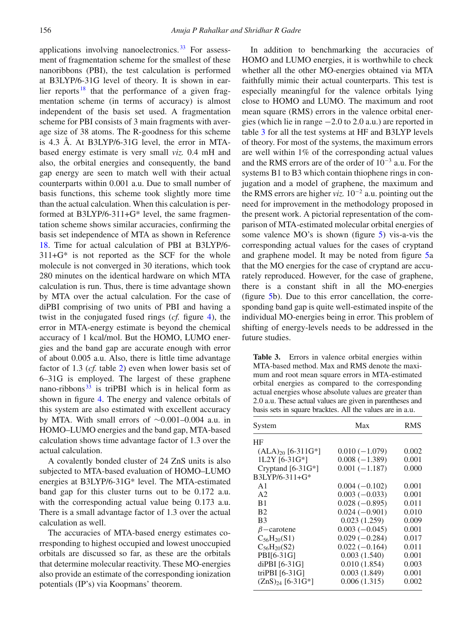applications involving nanoelectronics. [33](#page-9-30) For assessment of fragmentation scheme for the smallest of these nanoribbons (PBI), the test calculation is performed at B3LYP/6-31G level of theory. It is shown in earlier reports  $18$  that the performance of a given fragmentation scheme (in terms of accuracy) is almost independent of the basis set used. A fragmentation scheme for PBI consists of 3 main fragments with average size of 38 atoms. The R-goodness for this scheme is 4.3 Å. At B3LYP/6-31G level, the error in MTAbased energy estimate is very small *viz.* 0.4 mH and also, the orbital energies and consequently, the band gap energy are seen to match well with their actual counterparts within 0.001 a.u. Due to small number of basis functions, this scheme took slightly more time than the actual calculation. When this calculation is performed at B3LYP/6-311+G\* level, the same fragmentation scheme shows similar accuracies, confirming the basis set independence of MTA as shown in Reference [18.](#page-9-9) Time for actual calculation of PBI at B3LYP/6-  $311+G^*$  is not reported as the SCF for the whole molecule is not converged in 30 iterations, which took 280 minutes on the identical hardware on which MTA calculation is run. Thus, there is time advantage shown by MTA over the actual calculation. For the case of diPBI comprising of two units of PBI and having a twist in the conjugated fused rings (*cf.* figure [4\)](#page-6-0), the error in MTA-energy estimate is beyond the chemical accuracy of 1 kcal/mol. But the HOMO, LUMO energies and the band gap are accurate enough with error of about 0.005 a.u. Also, there is little time advantage factor of 1.3 (*cf.* table [2\)](#page-5-0) even when lower basis set of 6–31G is employed. The largest of these graphene nano-ribbons $33$  is triPBI which is in helical form as shown in figure [4.](#page-6-0) The energy and valence orbitals of this system are also estimated with excellent accuracy by MTA. With small errors of ∼0.001–0.004 a.u. in HOMO–LUMO energies and the band gap, MTA-based calculation shows time advantage factor of 1.3 over the actual calculation.

A covalently bonded cluster of 24 ZnS units is also subjected to MTA-based evaluation of HOMO–LUMO energies at B3LYP/6-31G\* level. The MTA-estimated band gap for this cluster turns out to be 0.172 a.u. with the corresponding actual value being 0.173 a.u. There is a small advantage factor of 1.3 over the actual calculation as well.

The accuracies of MTA-based energy estimates corresponding to highest occupied and lowest unoccupied orbitals are discussed so far, as these are the orbitals that determine molecular reactivity. These MO-energies also provide an estimate of the corresponding ionization potentials (IP's) via Koopmans' theorem.

In addition to benchmarking the accuracies of HOMO and LUMO energies, it is worthwhile to check whether all the other MO-energies obtained via MTA faithfully mimic their actual counterparts. This test is especially meaningful for the valence orbitals lying close to HOMO and LUMO. The maximum and root mean square (RMS) errors in the valence orbital energies (which lie in range −2.0 to 2.0 a.u.) are reported in table [3](#page-7-0) for all the test systems at HF and B3LYP levels of theory. For most of the systems, the maximum errors are well within 1% of the corresponding actual values and the RMS errors are of the order of 10<sup>−</sup><sup>3</sup> a.u. For the systems B1 to B3 which contain thiophene rings in conjugation and a model of graphene, the maximum and the RMS errors are higher *viz.* 10<sup>−</sup><sup>2</sup> a.u. pointing out the need for improvement in the methodology proposed in the present work. A pictorial representation of the comparison of MTA-estimated molecular orbital energies of some valence MO's is shown (figure [5\)](#page-8-0) vis-a-vis the corresponding actual values for the cases of cryptand and graphene model. It may be noted from figure [5a](#page-8-0) that the MO energies for the case of cryptand are accurately reproduced. However, for the case of graphene, there is a constant shift in all the MO-energies (figure [5b](#page-8-0)). Due to this error cancellation, the corresponding band gap is quite well-estimated inspite of the individual MO-energies being in error. This problem of shifting of energy-levels needs to be addressed in the future studies.

<span id="page-7-0"></span>**Table 3.** Errors in valence orbital energies within MTA-based method. Max and RMS denote the maximum and root mean square errors in MTA-estimated orbital energies as compared to the corresponding actual energies whose absolute values are greater than 2.0 a.u. These actual values are given in parentheses and basis sets in square bracktes. All the values are in a.u.

| System                 | Max             | RMS   |
|------------------------|-----------------|-------|
| HF                     |                 |       |
| $(ALA)_{20}$ [6-311G*] | $0.010(-1.079)$ | 0.002 |
| 1L2Y [6-31G*]          | $0.008(-1.389)$ | 0.001 |
| Cryptand $[6-31G^*]$   | $0.001(-1.187)$ | 0.000 |
| B3LYP/6-311+G*         |                 |       |
| A <sub>1</sub>         | $0.004(-0.102)$ | 0.001 |
| A2                     | $0.003(-0.033)$ | 0.001 |
| B1                     | $0.028(-0.895)$ | 0.011 |
| <b>B2</b>              | $0.024(-0.901)$ | 0.010 |
| B <sub>3</sub>         | 0.023(1.259)    | 0.009 |
| $\beta$ – carotene     | $0.003(-0.045)$ | 0.001 |
| $C_{56}H_{20}(S1)$     | $0.029(-0.284)$ | 0.017 |
| $C_{56}H_{20}(S2)$     | $0.022(-0.164)$ | 0.011 |
| PBI[6-31G]             | 0.003(1.540)    | 0.001 |
| diPBI [6-31G]          | 0.010(1.854)    | 0.003 |
| triPBI [6-31G]         | 0.003(1.849)    | 0.001 |
| $(ZnS)_{24}$ [6-31G*]  | 0.006(1.315)    | 0.002 |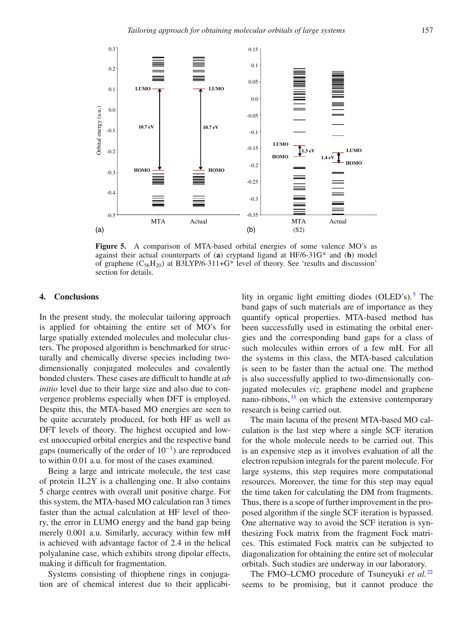<span id="page-8-0"></span>

**Figure 5.** A comparison of MTA-based orbital energies of some valence MO's as against their actual counterparts of (**a**) cryptand ligand at HF/6-31G\* and (**b**) model of graphene  $(C_{56}H_{20})$  at B3LYP/6-311+G\* level of theory. See 'results and discussion' section for details.

# **4. Conclusions**

In the present study, the molecular tailoring approach is applied for obtaining the entire set of MO's for large spatially extended molecules and molecular clusters. The proposed algorithm is benchmarked for structurally and chemically diverse species including twodimensionally conjugated molecules and covalently bonded clusters. These cases are difficult to handle at *ab initio* level due to their large size and also due to convergence problems especially when DFT is employed. Despite this, the MTA-based MO energies are seen to be quite accurately produced, for both HF as well as DFT levels of theory. The highest occupied and lowest unoccupied orbital energies and the respective band gaps (numerically of the order of 10<sup>−</sup><sup>1</sup>) are reproduced to within 0.01 a.u. for most of the cases examined.

Being a large and intricate molecule, the test case of protein 1L2Y is a challenging one. It also contains 5 charge centres with overall unit positive charge. For this system, the MTA-based MO calculation ran 3 times faster than the actual calculation at HF level of theory, the error in LUMO energy and the band gap being merely 0.001 a.u. Similarly, accuracy within few mH is achieved with advantage factor of 2.4 in the helical polyalanine case, which exhibits strong dipolar effects, making it difficult for fragmentation.

Systems consisting of thiophene rings in conjugation are of chemical interest due to their applicability in organic light emitting diodes (OLED's).<sup>[5](#page-9-3)</sup> The band gaps of such materials are of importance as they quantify optical properties. MTA-based method has been successfully used in estimating the orbital energies and the corresponding band gaps for a class of such molecules within errors of a few mH. For all the systems in this class, the MTA-based calculation is seen to be faster than the actual one. The method is also successfully applied to two-dimensionally conjugated molecules *viz.* graphene model and graphene nano-ribbons,  $33$  on which the extensive contemporary research is being carried out.

The main lacuna of the present MTA-based MO calculation is the last step where a single SCF iteration for the whole molecule needs to be carried out. This is an expensive step as it involves evaluation of all the electron repulsion integrals for the parent molecule. For large systems, this step requires more computational resources. Moreover, the time for this step may equal the time taken for calculating the DM from fragments. Thus, there is a scope of further improvement in the proposed algorithm if the single SCF iteration is bypassed. One alternative way to avoid the SCF iteration is synthesizing Fock matrix from the fragment Fock matrices. This estimated Fock matrix can be subjected to diagonalization for obtaining the entire set of molecular orbitals. Such studies are underway in our laboratory.

The FMO–LCMO procedure of Tsuneyuki *et al.*<sup>[22](#page-9-19)</sup> seems to be promising, but it cannot produce the